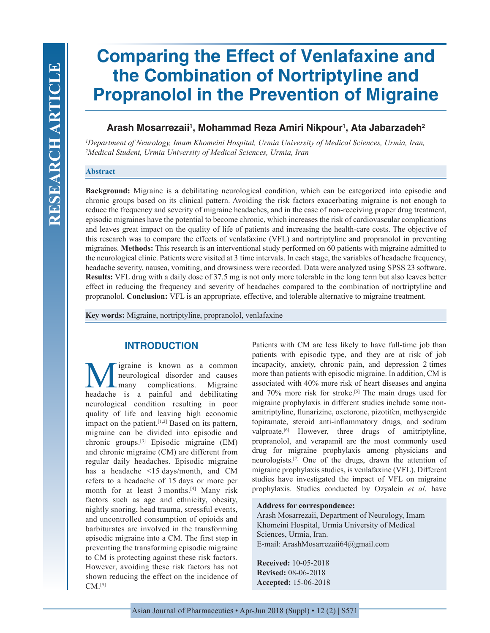# **Comparing the Effect of Venlafaxine and the Combination of Nortriptyline and Propranolol in the Prevention of Migraine**

# Arash Mosarrezaii<sup>ı</sup>, Mohammad Reza Amiri Nikpour<sup>ı</sup>, Ata Jabarzadeh<sup>2</sup>

*1 Department of Neurology, Imam Khomeini Hospital, Urmia University of Medical Sciences, Urmia, Iran, 2 Medical Student, Urmia University of Medical Sciences, Urmia, Iran*

# **Abstract**

**Background:** Migraine is a debilitating neurological condition, which can be categorized into episodic and chronic groups based on its clinical pattern. Avoiding the risk factors exacerbating migraine is not enough to reduce the frequency and severity of migraine headaches, and in the case of non-receiving proper drug treatment, episodic migraines have the potential to become chronic, which increases the risk of cardiovascular complications and leaves great impact on the quality of life of patients and increasing the health-care costs. The objective of this research was to compare the effects of venlafaxine (VFL) and nortriptyline and propranolol in preventing migraines. **Methods:** This research is an interventional study performed on 60 patients with migraine admitted to the neurological clinic. Patients were visited at 3 time intervals. In each stage, the variables of headache frequency, headache severity, nausea, vomiting, and drowsiness were recorded. Data were analyzed using SPSS 23 software. **Results:** VFL drug with a daily dose of 37.5 mg is not only more tolerable in the long term but also leaves better effect in reducing the frequency and severity of headaches compared to the combination of nortriptyline and propranolol. **Conclusion:** VFL is an appropriate, effective, and tolerable alternative to migraine treatment.

**Key words:** Migraine, nortriptyline, propranolol, venlafaxine

# **INTRODUCTION**

igraine is known as a common<br>neurological disorder and causes<br>many complications. Migraine neurological disorder and causes complications. headache is a painful and debilitating neurological condition resulting in poor quality of life and leaving high economic impact on the patient.  $[1,2]$  Based on its pattern, migraine can be divided into episodic and chronic groups.[3] Episodic migraine (EM) and chronic migraine (CM) are different from regular daily headaches. Episodic migraine has a headache <15 days/month, and CM refers to a headache of 15 days or more per month for at least 3 months.<sup>[4]</sup> Many risk factors such as age and ethnicity, obesity, nightly snoring, head trauma, stressful events, and uncontrolled consumption of opioids and barbiturates are involved in the transforming episodic migraine into a CM. The first step in preventing the transforming episodic migraine to CM is protecting against these risk factors. However, avoiding these risk factors has not shown reducing the effect on the incidence of  $CM.$  [5]

Patients with CM are less likely to have full-time job than patients with episodic type, and they are at risk of job incapacity, anxiety, chronic pain, and depression 2 times more than patients with episodic migraine. In addition, CM is associated with 40% more risk of heart diseases and angina and 70% more risk for stroke.<sup>[5]</sup> The main drugs used for migraine prophylaxis in different studies include some nonamitriptyline, flunarizine, oxetorone, pizotifen, methysergide topiramate, steroid anti-inflammatory drugs, and sodium valproate.<sup>[6]</sup> However, three drugs of amitriptyline, propranolol, and verapamil are the most commonly used drug for migraine prophylaxis among physicians and neurologists.[7] One of the drugs, drawn the attention of migraine prophylaxis studies, is venlafaxine (VFL). Different studies have investigated the impact of VFL on migraine prophylaxis. Studies conducted by Ozyalcin *et al*. have

#### **Address for correspondence:**

Arash Mosarrezaii, Department of Neurology, Imam Khomeini Hospital, Urmia University of Medical Sciences, Urmia, Iran. E-mail: ArashMosarrezaii64@gmail.com

**Received:** 10-05-2018 **Revised:** 08-06-2018 **Accepted:** 15-06-2018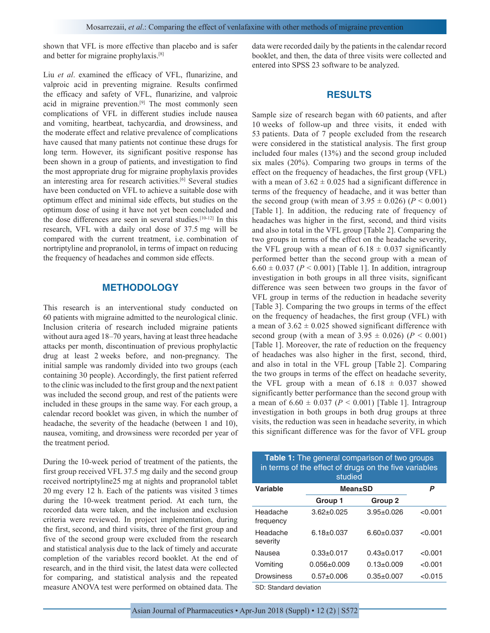shown that VFL is more effective than placebo and is safer and better for migraine prophylaxis.[8]

Liu *et al*. examined the efficacy of VFL, flunarizine, and valproic acid in preventing migraine. Results confirmed the efficacy and safety of VFL, flunarizine, and valproic acid in migraine prevention.<sup>[9]</sup> The most commonly seen complications of VFL in different studies include nausea and vomiting, heartbeat, tachycardia, and drowsiness, and the moderate effect and relative prevalence of complications have caused that many patients not continue these drugs for long term. However, its significant positive response has been shown in a group of patients, and investigation to find the most appropriate drug for migraine prophylaxis provides an interesting area for research activities.<sup>[6]</sup> Several studies have been conducted on VFL to achieve a suitable dose with optimum effect and minimal side effects, but studies on the optimum dose of using it have not yet been concluded and the dose differences are seen in several studies.[10-12] In this research, VFL with a daily oral dose of 37.5 mg will be compared with the current treatment, i.e. combination of nortriptyline and propranolol, in terms of impact on reducing the frequency of headaches and common side effects.

# **METHODOLOGY**

This research is an interventional study conducted on 60 patients with migraine admitted to the neurological clinic. Inclusion criteria of research included migraine patients without aura aged 18–70 years, having at least three headache attacks per month, discontinuation of previous prophylactic drug at least 2 weeks before, and non-pregnancy. The initial sample was randomly divided into two groups (each containing 30 people). Accordingly, the first patient referred to the clinic was included to the first group and the next patient was included the second group, and rest of the patients were included in these groups in the same way. For each group, a calendar record booklet was given, in which the number of headache, the severity of the headache (between 1 and 10), nausea, vomiting, and drowsiness were recorded per year of the treatment period.

During the 10-week period of treatment of the patients, the first group received VFL 37.5 mg daily and the second group received nortriptyline25 mg at nights and propranolol tablet 20 mg every 12 h. Each of the patients was visited 3 times during the 10-week treatment period. At each turn, the recorded data were taken, and the inclusion and exclusion criteria were reviewed. In project implementation, during the first, second, and third visits, three of the first group and five of the second group were excluded from the research and statistical analysis due to the lack of timely and accurate completion of the variables record booklet. At the end of research, and in the third visit, the latest data were collected for comparing, and statistical analysis and the repeated measure ANOVA test were performed on obtained data. The data were recorded daily by the patients in the calendar record booklet, and then, the data of three visits were collected and entered into SPSS 23 software to be analyzed.

#### **RESULTS**

Sample size of research began with 60 patients, and after 10 weeks of follow-up and three visits, it ended with 53 patients. Data of 7 people excluded from the research were considered in the statistical analysis. The first group included four males (13%) and the second group included six males (20%). Comparing two groups in terms of the effect on the frequency of headaches, the first group (VFL) with a mean of  $3.62 \pm 0.025$  had a significant difference in terms of the frequency of headache, and it was better than the second group (with mean of  $3.95 \pm 0.026$ ) ( $P < 0.001$ ) [Table 1]. In addition, the reducing rate of frequency of headaches was higher in the first, second, and third visits and also in total in the VFL group [Table 2]. Comparing the two groups in terms of the effect on the headache severity, the VFL group with a mean of  $6.18 \pm 0.037$  significantly performed better than the second group with a mean of  $6.60 \pm 0.037$  ( $P < 0.001$ ) [Table 1]. In addition, intragroup investigation in both groups in all three visits, significant difference was seen between two groups in the favor of VFL group in terms of the reduction in headache severity [Table 3]. Comparing the two groups in terms of the effect on the frequency of headaches, the first group (VFL) with a mean of  $3.62 \pm 0.025$  showed significant difference with second group (with a mean of  $3.95 \pm 0.026$ ) ( $P < 0.001$ ) [Table 1]. Moreover, the rate of reduction on the frequency of headaches was also higher in the first, second, third, and also in total in the VFL group [Table 2]. Comparing the two groups in terms of the effect on headache severity, the VFL group with a mean of  $6.18 \pm 0.037$  showed significantly better performance than the second group with a mean of  $6.60 \pm 0.037$  ( $P < 0.001$ ) [Table 1]. Intragroup investigation in both groups in both drug groups at three visits, the reduction was seen in headache severity, in which this significant difference was for the favor of VFL group

| <b>Table 1:</b> The general comparison of two groups<br>in terms of the effect of drugs on the five variables<br>studied |                   |                  |         |
|--------------------------------------------------------------------------------------------------------------------------|-------------------|------------------|---------|
| <b>Variable</b>                                                                                                          | <b>Mean</b> ±SD   |                  | P       |
|                                                                                                                          | Group 1           | Group 2          |         |
| Headache<br>frequency                                                                                                    | $3.62 \pm 0.025$  | $3.95 \pm 0.026$ | < 0.001 |
| Headache<br>severity                                                                                                     | $6.18 \pm 0.037$  | $6.60 + 0.037$   | < 0.001 |
| Nausea                                                                                                                   | $0.33 + 0.017$    | $0.43 + 0.017$   | < 0.001 |
| Vomiting                                                                                                                 | $0.056 \pm 0.009$ | $0.13 \pm 0.009$ | < 0.001 |
| <b>Drowsiness</b>                                                                                                        | $0.57 \pm 0.006$  | $0.35 \pm 0.007$ | < 0.015 |
| $\mathsf{on}$ $\mathsf{on}$ $\mathsf{on}$ $\mathsf{on}$ $\mathsf{on}$ $\mathsf{on}$ $\mathsf{on}$                        |                   |                  |         |

SD: Standard deviation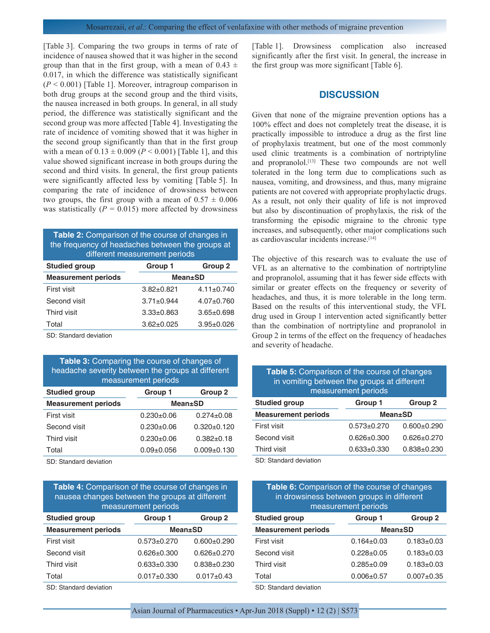[Table 3]. Comparing the two groups in terms of rate of incidence of nausea showed that it was higher in the second group than that in the first group, with a mean of  $0.43 \pm$ 0.017, in which the difference was statistically significant (*P* < 0.001) [Table 1]. Moreover, intragroup comparison in both drug groups at the second group and the third visits, the nausea increased in both groups. In general, in all study period, the difference was statistically significant and the second group was more affected [Table 4]. Investigating the rate of incidence of vomiting showed that it was higher in the second group significantly than that in the first group with a mean of  $0.13 \pm 0.009$  ( $P < 0.001$ ) [Table 1], and this value showed significant increase in both groups during the second and third visits. In general, the first group patients were significantly affected less by vomiting [Table 5]. In comparing the rate of incidence of drowsiness between two groups, the first group with a mean of  $0.57 \pm 0.006$ was statistically  $(P = 0.015)$  more affected by drowsiness

| Table 2: Comparison of the course of changes in<br>the frequency of headaches between the groups at<br>different measurement periods |                  |                  |  |
|--------------------------------------------------------------------------------------------------------------------------------------|------------------|------------------|--|
| <b>Studied group</b>                                                                                                                 | Group 1          | Group 2          |  |
| <b>Measurement periods</b>                                                                                                           |                  | <b>Mean</b> ±SD  |  |
| First visit                                                                                                                          | $3.82 \pm 0.821$ | $4.11 \pm 0.740$ |  |
| Second visit                                                                                                                         | $3.71 \pm 0.944$ | $4.07 \pm 0.760$ |  |
| Third visit                                                                                                                          | $3.33 \pm 0.863$ | $3.65 \pm 0.698$ |  |
| Total                                                                                                                                | $3.62 \pm 0.025$ | $3.95 \pm 0.026$ |  |

SD: Standard deviation

| Table 3: Comparing the course of changes of<br>headache severity between the groups at different<br>measurement periods |                  |                  |
|-------------------------------------------------------------------------------------------------------------------------|------------------|------------------|
| <b>Studied group</b>                                                                                                    | Group 1          | <b>Group 2</b>   |
| <b>Measurement periods</b>                                                                                              | <b>Mean</b> ±SD  |                  |
| First visit                                                                                                             | $0.230+0.06$     | $0.274 \pm 0.08$ |
| Second visit                                                                                                            | $0.230 + 0.06$   | $0.320 + 0.120$  |
| Third visit                                                                                                             | $0.230+0.06$     | $0.382 + 0.18$   |
| Total                                                                                                                   | $0.09 \pm 0.056$ | $0.009 + 0.130$  |

SD: Standard deviation

| Table 4: Comparison of the course of changes in<br>nausea changes between the groups at different<br>measurement periods |                   |                   |  |
|--------------------------------------------------------------------------------------------------------------------------|-------------------|-------------------|--|
| <b>Studied group</b>                                                                                                     | Group 1           | Group 2           |  |
| <b>Measurement periods</b>                                                                                               | <b>Mean</b> ±SD   |                   |  |
| First visit                                                                                                              | $0.573 + 0.270$   | $0.600 \pm 0.290$ |  |
| Second visit                                                                                                             | 0.626+0.300       | $0.626 + 0.270$   |  |
| Third visit                                                                                                              | $0.633 + 0.330$   | $0.838 + 0.230$   |  |
| Total                                                                                                                    | $0.017 \pm 0.330$ | $0.017+0.43$      |  |

SD: Standard deviation

[Table 1]. Drowsiness complication also increased significantly after the first visit. In general, the increase in the first group was more significant [Table 6].

#### **DISCUSSION**

Given that none of the migraine prevention options has a 100% effect and does not completely treat the disease, it is practically impossible to introduce a drug as the first line of prophylaxis treatment, but one of the most commonly used clinic treatments is a combination of nortriptyline and propranolol.<sup>[13]</sup> These two compounds are not well tolerated in the long term due to complications such as nausea, vomiting, and drowsiness, and thus, many migraine patients are not covered with appropriate prophylactic drugs. As a result, not only their quality of life is not improved but also by discontinuation of prophylaxis, the risk of the transforming the episodic migraine to the chronic type increases, and subsequently, other major complications such as cardiovascular incidents increase.<sup>[14]</sup>

The objective of this research was to evaluate the use of VFL as an alternative to the combination of nortriptyline and propranolol, assuming that it has fewer side effects with similar or greater effects on the frequency or severity of headaches, and thus, it is more tolerable in the long term. Based on the results of this interventional study, the VFL drug used in Group 1 intervention acted significantly better than the combination of nortriptyline and propranolol in Group 2 in terms of the effect on the frequency of headaches and severity of headache.

| <b>Table 5:</b> Comparison of the course of changes<br>in vomiting between the groups at different<br>measurement periods |                   |                   |
|---------------------------------------------------------------------------------------------------------------------------|-------------------|-------------------|
| <b>Studied group</b>                                                                                                      | Group 1           | Group 2           |
| <b>Measurement periods</b>                                                                                                | <b>Mean</b> ±SD   |                   |
| First visit                                                                                                               | $0.573 \pm 0.270$ | $0.600+0.290$     |
| Second visit                                                                                                              | $0.626 \pm 0.300$ | $0.626 \pm 0.270$ |
| Third visit                                                                                                               | $0.633 \pm 0.330$ | $0.838 + 0.230$   |
|                                                                                                                           |                   |                   |

SD: Standard deviation

| <b>Table 6:</b> Comparison of the course of changes<br>in drowsiness between groups in different<br>measurement periods |                 |         |  |
|-------------------------------------------------------------------------------------------------------------------------|-----------------|---------|--|
| <b>Studied group</b>                                                                                                    | Group 1         | Group 2 |  |
| <b>Measurement periods</b>                                                                                              | <b>Mean</b> ±SD |         |  |
|                                                                                                                         |                 |         |  |

| <b>Measurement periods</b> | <b>Mean±SD</b>   |                  |
|----------------------------|------------------|------------------|
| First visit                | $0.164 \pm 0.03$ | $0.183 \pm 0.03$ |
| Second visit               | $0.228 \pm 0.05$ | $0.183 \pm 0.03$ |
| Third visit                | $0.285 \pm 0.09$ | $0.183 \pm 0.03$ |
| Total                      | $0.006 \pm 0.57$ | $0.007+0.35$     |
|                            |                  |                  |

SD: Standard deviation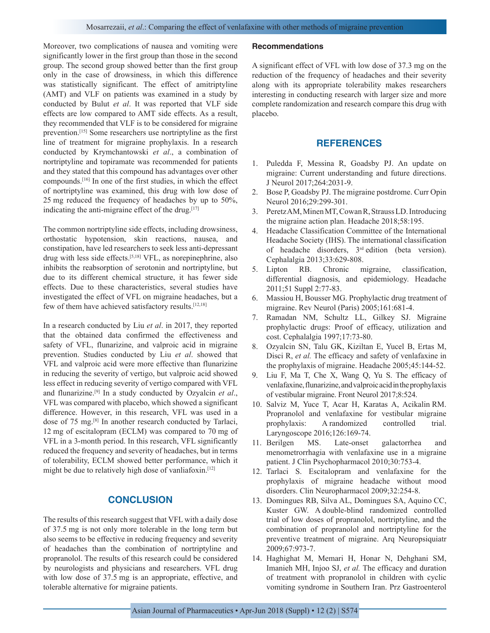Moreover, two complications of nausea and vomiting were significantly lower in the first group than those in the second group. The second group showed better than the first group only in the case of drowsiness, in which this difference was statistically significant. The effect of amitriptyline (AMT) and VLF on patients was examined in a study by conducted by Bulut *et al*. It was reported that VLF side effects are low compared to AMT side effects. As a result, they recommended that VLF is to be considered for migraine prevention.[15] Some researchers use nortriptyline as the first line of treatment for migraine prophylaxis. In a research conducted by Krymchantowski *et al*., a combination of nortriptyline and topiramate was recommended for patients and they stated that this compound has advantages over other compounds.[16] In one of the first studies, in which the effect of nortriptyline was examined, this drug with low dose of 25 mg reduced the frequency of headaches by up to 50%, indicating the anti-migraine effect of the drug.<sup>[17]</sup>

The common nortriptyline side effects, including drowsiness, orthostatic hypotension, skin reactions, nausea, and constipation, have led researchers to seek less anti-depressant drug with less side effects.[5,18] VFL, as norepinephrine, also inhibits the reabsorption of serotonin and nortriptyline, but due to its different chemical structure, it has fewer side effects. Due to these characteristics, several studies have investigated the effect of VFL on migraine headaches, but a few of them have achieved satisfactory results.[12,18]

In a research conducted by Liu *et al*. in 2017, they reported that the obtained data confirmed the effectiveness and safety of VFL, flunarizine, and valproic acid in migraine prevention. Studies conducted by Liu *et al*. showed that VFL and valproic acid were more effective than flunarizine in reducing the severity of vertigo, but valproic acid showed less effect in reducing severity of vertigo compared with VFL and flunarizine.[9] In a study conducted by Ozyalcin *et al*., VFL was compared with placebo, which showed a significant difference. However, in this research, VFL was used in a dose of 75 mg.[8] In another research conducted by Tarlaci, 12 mg of escitalopram (ECLM) was compared to 70 mg of VFL in a 3-month period. In this research, VFL significantly reduced the frequency and severity of headaches, but in terms of tolerability, ECLM showed better performance, which it might be due to relatively high dose of vanliafoxin.<sup>[12]</sup>

# **CONCLUSION**

The results of this research suggest that VFL with a daily dose of 37.5 mg is not only more tolerable in the long term but also seems to be effective in reducing frequency and severity of headaches than the combination of nortriptyline and propranolol. The results of this research could be considered by neurologists and physicians and researchers. VFL drug with low dose of 37.5 mg is an appropriate, effective, and tolerable alternative for migraine patients.

#### **Recommendations**

A significant effect of VFL with low dose of 37.3 mg on the reduction of the frequency of headaches and their severity along with its appropriate tolerability makes researchers interesting in conducting research with larger size and more complete randomization and research compare this drug with placebo.

#### **REFERENCES**

- 1. Puledda F, Messina R, Goadsby PJ. An update on migraine: Current understanding and future directions. J Neurol 2017;264:2031-9.
- 2. Bose P, Goadsby PJ. The migraine postdrome. Curr Opin Neurol 2016;29:299-301.
- 3. Peretz AM, Minen MT, Cowan R, Strauss LD. Introducing the migraine action plan. Headache 2018;58:195.
- 4. Headache Classification Committee of the International Headache Society (IHS). The international classification of headache disorders, 3rd edition (beta version). Cephalalgia 2013;33:629-808.
- 5. Lipton RB. Chronic migraine, classification, differential diagnosis, and epidemiology. Headache 2011;51 Suppl 2:77-83.
- 6. Massiou H, Bousser MG. Prophylactic drug treatment of migraine. Rev Neurol (Paris) 2005;161:681-4.
- 7. Ramadan NM, Schultz LL, Gilkey SJ. Migraine prophylactic drugs: Proof of efficacy, utilization and cost. Cephalalgia 1997;17:73-80.
- 8. Ozyalcin SN, Talu GK, Kiziltan E, Yucel B, Ertas M, Disci R, *et al.* The efficacy and safety of venlafaxine in the prophylaxis of migraine. Headache 2005;45:144-52.
- 9. Liu F, Ma T, Che X, Wang Q, Yu S. The efficacy of venlafaxine, flunarizine, and valproic acid in the prophylaxis of vestibular migraine. Front Neurol 2017;8:524.
- 10. Salviz M, Yuce T, Acar H, Karatas A, Acikalin RM. Propranolol and venlafaxine for vestibular migraine prophylaxis: A randomized controlled trial. Laryngoscope 2016;126:169-74.
- 11. Berilgen MS. Late-onset galactorrhea and menometrorrhagia with venlafaxine use in a migraine patient. J Clin Psychopharmacol 2010;30:753-4.
- 12. Tarlaci S. Escitalopram and venlafaxine for the prophylaxis of migraine headache without mood disorders. Clin Neuropharmacol 2009;32:254-8.
- 13. Domingues RB, Silva AL, Domingues SA, Aquino CC, Kuster GW. A double-blind randomized controlled trial of low doses of propranolol, nortriptyline, and the combination of propranolol and nortriptyline for the preventive treatment of migraine. Arq Neuropsiquiatr 2009;67:973-7.
- 14. Haghighat M, Memari H, Honar N, Dehghani SM, Imanieh MH, Injoo SJ, *et al.* The efficacy and duration of treatment with propranolol in children with cyclic vomiting syndrome in Southern Iran. Prz Gastroenterol